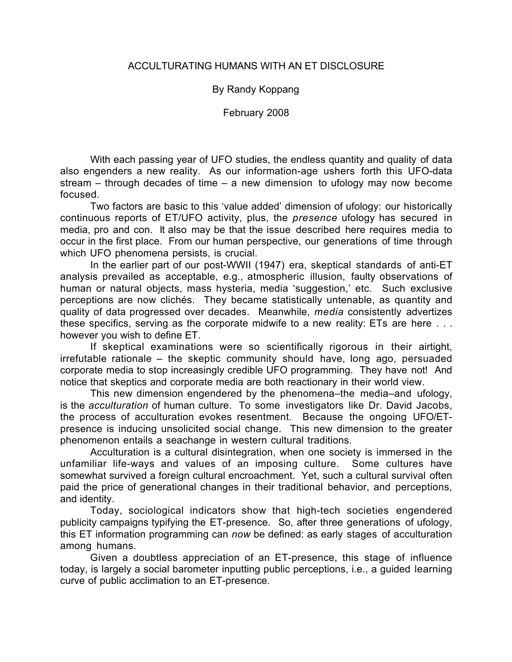### ACCULTURATING HUMANS WITH AN ET DISCLOSURE

## By Randy Koppang

February 2008

With each passing year of UFO studies, the endless quantity and quality of data also engenders a new reality. As our information-age ushers forth this UFO-data stream – through decades of time – a new dimension to ufology may now become focused.

Two factors are basic to this 'value added' dimension of ufology: our historically continuous reports of ET/UFO activity, plus, the *presence* ufology has secured in media, pro and con. It also may be that the issue described here requires media to occur in the first place. From our human perspective, our generations of time through which UFO phenomena persists, is crucial.

In the earlier part of our post-WWII (1947) era, skeptical standards of anti-ET analysis prevailed as acceptable, e.g., atmospheric illusion, faulty observations of human or natural objects, mass hysteria, media 'suggestion,' etc. Such exclusive perceptions are now clichés. They became statistically untenable, as quantity and quality of data progressed over decades. Meanwhile, *media* consistently advertizes these specifics, serving as the corporate midwife to a new reality: ETs are here . . . however you wish to define ET.

If skeptical examinations were so scientifically rigorous in their airtight, irrefutable rationale – the skeptic community should have, long ago, persuaded corporate media to stop increasingly credible UFO programming. They have not! And notice that skeptics and corporate media are both reactionary in their world view.

This new dimension engendered by the phenomena–the media–and ufology, is the *acculturation* of human culture. To some investigators like Dr. David Jacobs, the process of acculturation evokes resentment. Because the ongoing UFO/ETpresence is inducing unsolicited social change. This new dimension to the greater phenomenon entails a seachange in western cultural traditions.

Acculturation is a cultural disintegration, when one society is immersed in the unfamiliar life-ways and values of an imposing culture. Some cultures have somewhat survived a foreign cultural encroachment. Yet, such a cultural survival often paid the price of generational changes in their traditional behavior, and perceptions, and identity.

Today, sociological indicators show that high-tech societies engendered publicity campaigns typifying the ET-presence. So, after three generations of ufology, this ET information programming can *now* be defined: as early stages of acculturation among humans.

Given a doubtless appreciation of an ET-presence, this stage of influence today, is largely a social barometer inputting public perceptions, i.e., a guided learning curve of public acclimation to an ET-presence.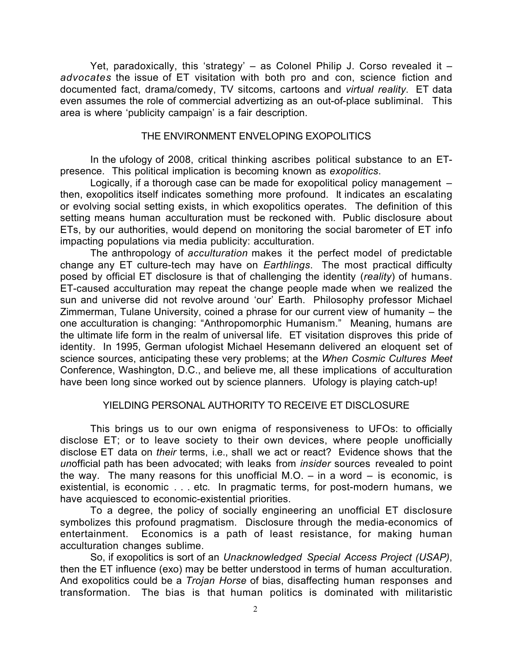Yet, paradoxically, this 'strategy' – as Colonel Philip J. Corso revealed it – *advocates* the issue of ET visitation with both pro and con, science fiction and documented fact, drama/comedy, TV sitcoms, cartoons and *virtual reality*. ET data even assumes the role of commercial advertizing as an out-of-place subliminal. This area is where 'publicity campaign' is a fair description.

#### THE ENVIRONMENT ENVELOPING EXOPOLITICS

In the ufology of 2008, critical thinking ascribes political substance to an ETpresence. This political implication is becoming known as *exopolitics*.

Logically, if a thorough case can be made for exopolitical policy management – then, exopolitics itself indicates something more profound. It indicates an escalating or evolving social setting exists, in which exopolitics operates. The definition of this setting means human acculturation must be reckoned with. Public disclosure about ETs, by our authorities, would depend on monitoring the social barometer of ET info impacting populations via media publicity: acculturation.

The anthropology of *acculturation* makes it the perfect model of predictable change any ET culture-tech may have on *Earthlings*. The most practical difficulty posed by official ET disclosure is that of challenging the identity (*reality*) of humans. ET-caused acculturation may repeat the change people made when we realized the sun and universe did not revolve around 'our' Earth. Philosophy professor Michael Zimmerman, Tulane University, coined a phrase for our current view of humanity – the one acculturation is changing: "Anthropomorphic Humanism." Meaning, humans are the ultimate life form in the realm of universal life. ET visitation disproves this pride of identity. In 1995, German ufologist Michael Hesemann delivered an eloquent set of science sources, anticipating these very problems; at the *When Cosmic Cultures Meet* Conference, Washington, D.C., and believe me, all these implications of acculturation have been long since worked out by science planners. Ufology is playing catch-up!

### YIELDING PERSONAL AUTHORITY TO RECEIVE ET DISCLOSURE

This brings us to our own enigma of responsiveness to UFOs: to officially disclose ET; or to leave society to their own devices, where people unofficially disclose ET data on *their* terms, i.e., shall we act or react? Evidence shows that the *un*official path has been advocated; with leaks from *insider* sources revealed to point the way. The many reasons for this unofficial M.O.  $-$  in a word  $-$  is economic, is existential, is economic . . . etc. In pragmatic terms, for post-modern humans, we have acquiesced to economic-existential priorities.

To a degree, the policy of socially engineering an unofficial ET disclosure symbolizes this profound pragmatism. Disclosure through the media-economics of entertainment. Economics is a path of least resistance, for making human acculturation changes sublime.

So, if exopolitics is sort of an *Unacknowledged Special Access Project (USAP)*, then the ET influence (exo) may be better understood in terms of human acculturation. And exopolitics could be a *Trojan Horse* of bias, disaffecting human responses and transformation. The bias is that human politics is dominated with militaristic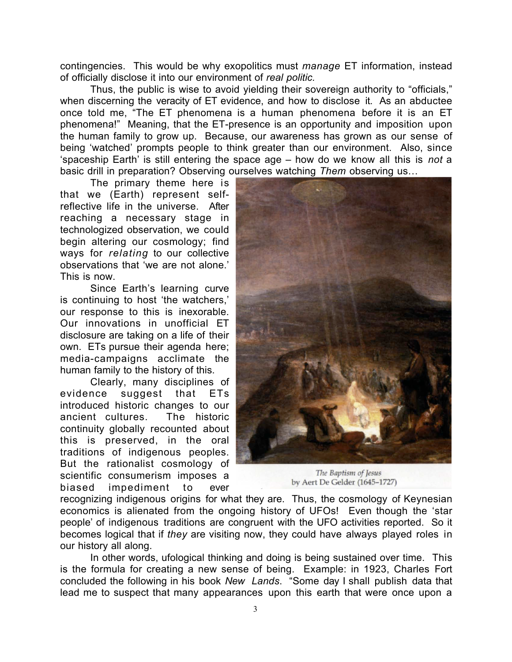contingencies. This would be why exopolitics must *manage* ET information, instead of officially disclose it into our environment of *real politic.*

Thus, the public is wise to avoid yielding their sovereign authority to "officials," when discerning the veracity of ET evidence, and how to disclose it. As an abductee once told me, "The ET phenomena is a human phenomena before it is an ET phenomena!" Meaning, that the ET-presence is an opportunity and imposition upon the human family to grow up. Because, our awareness has grown as our sense of being 'watched' prompts people to think greater than our environment. Also, since 'spaceship Earth' is still entering the space age – how do we know all this is *not* a basic drill in preparation? Observing ourselves watching *Them* observing us…

The primary theme here is that we (Earth) represent selfreflective life in the universe. After reaching a necessary stage in technologized observation, we could begin altering our cosmology; find ways for *relating* to our collective observations that 'we are not alone.' This is now.

Since Earth's learning curve is continuing to host 'the watchers,' our response to this is inexorable. Our innovations in unofficial ET disclosure are taking on a life of their own. ETs pursue their agenda here; media-campaigns acclimate the human family to the history of this.

Clearly, many disciplines of evidence suggest that ETs introduced historic changes to our ancient cultures. The historic continuity globally recounted about this is preserved, in the oral traditions of indigenous peoples. But the rationalist cosmology of scientific consumerism imposes a biased impediment to ever



The Baptism of Jesus by Aert De Gelder (1645-1727)

recognizing indigenous origins for what they are. Thus, the cosmology of Keynesian economics is alienated from the ongoing history of UFOs! Even though the 'star people' of indigenous traditions are congruent with the UFO activities reported. So it becomes logical that if *they* are visiting now, they could have always played roles in our history all along.

In other words, ufological thinking and doing is being sustained over time. This is the formula for creating a new sense of being. Example: in 1923, Charles Fort concluded the following in his book *New Lands*. "Some day I shall publish data that lead me to suspect that many appearances upon this earth that were once upon a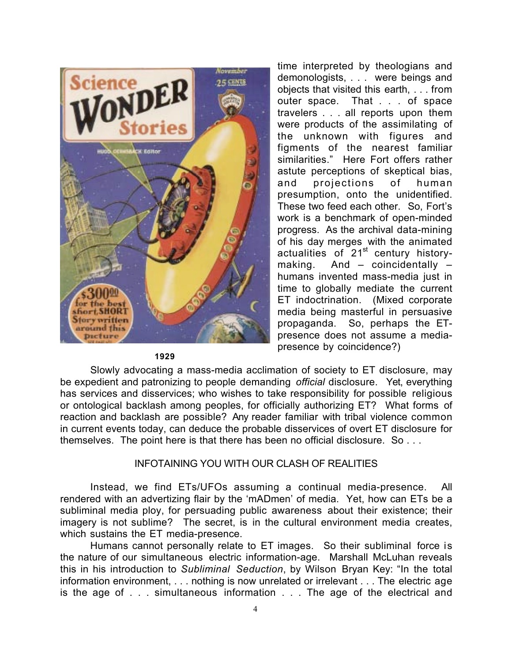

time interpreted by theologians and demonologists, . . . were beings and objects that visited this earth, . . . from outer space. That . . . of space travelers . . . all reports upon them were products of the assimilating of the unknown with figures and figments of the nearest familiar similarities." Here Fort offers rather astute perceptions of skeptical bias, and projections of human presumption, onto the unidentified. These two feed each other. So, Fort's work is a benchmark of open-minded progress. As the archival data-mining of his day merges with the animated actualities of  $21<sup>st</sup>$  century historymaking. And – coincidentally – humans invented mass-media just in time to globally mediate the current ET indoctrination. (Mixed corporate media being masterful in persuasive propaganda. So, perhaps the ETpresence does not assume a mediapresence by coincidence?)

#### **1929**

Slowly advocating a mass-media acclimation of society to ET disclosure, may be expedient and patronizing to people demanding *official* disclosure. Yet, everything has services and disservices; who wishes to take responsibility for possible religious or ontological backlash among peoples, for officially authorizing ET? What forms of reaction and backlash are possible? Any reader familiar with tribal violence common in current events today, can deduce the probable disservices of overt ET disclosure for themselves. The point here is that there has been no official disclosure. So . . .

#### INFOTAINING YOU WITH OUR CLASH OF REALITIES

Instead, we find ETs/UFOs assuming a continual media-presence. All rendered with an advertizing flair by the 'mADmen' of media. Yet, how can ETs be a subliminal media ploy, for persuading public awareness about their existence; their imagery is not sublime? The secret, is in the cultural environment media creates, which sustains the ET media-presence.

Humans cannot personally relate to ET images. So their subliminal force is the nature of our simultaneous electric information-age. Marshall McLuhan reveals this in his introduction to *Subliminal Seduction*, by Wilson Bryan Key: "In the total information environment, . . . nothing is now unrelated or irrelevant . . . The electric age is the age of . . . simultaneous information . . . The age of the electrical and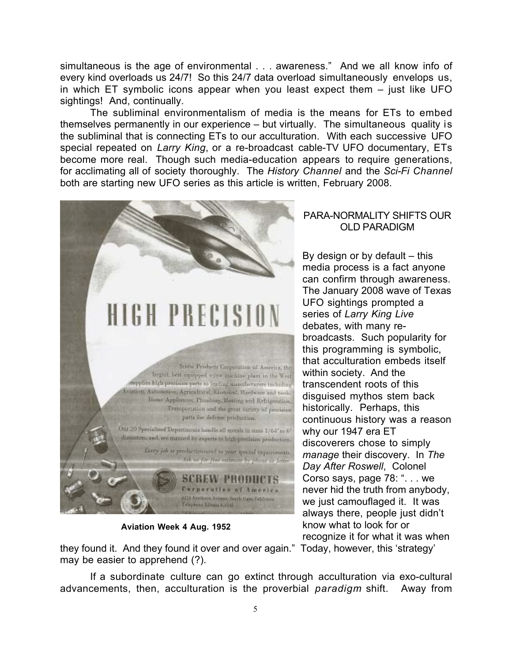simultaneous is the age of environmental . . . awareness." And we all know info of every kind overloads us 24/7! So this 24/7 data overload simultaneously envelops us, in which ET symbolic icons appear when you least expect them – just like UFO sightings! And, continually.

The subliminal environmentalism of media is the means for ETs to embed themselves permanently in our experience – but virtually. The simultaneous quality is the subliminal that is connecting ETs to our acculturation. With each successive UFO special repeated on *Larry King*, or a re-broadcast cable-TV UFO documentary, ETs become more real. Though such media-education appears to require generations, for acclimating all of society thoroughly. The *History Channel* and the *Sci-Fi Channel* both are starting new UFO series as this article is written, February 2008.



**Aviation Week 4 Aug. 1952**

they found it. And they found it over and over again." Today, however, this 'strategy' may be easier to apprehend (?).

If a subordinate culture can go extinct through acculturation via exo-cultural advancements, then, acculturation is the proverbial *paradigm* shift. Away from

# PARA-NORMALITY SHIFTS OUR OLD PARADIGM

By design or by default  $-$  this media process is a fact anyone can confirm through awareness. The January 2008 wave of Texas UFO sightings prompted a series of *Larry King Live* debates, with many rebroadcasts. Such popularity for this programming is symbolic, that acculturation embeds itself within society. And the transcendent roots of this disguised mythos stem back historically. Perhaps, this continuous history was a reason why our 1947 era ET discoverers chose to simply *manage* their discovery. In *The Day After Roswell*, Colonel Corso says, page 78: ". . . we never hid the truth from anybody, we just camouflaged it. It was always there, people just didn't know what to look for or recognize it for what it was when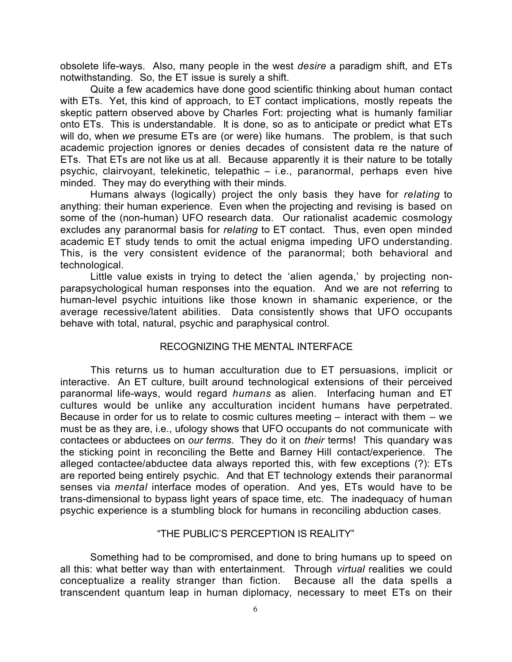obsolete life-ways. Also, many people in the west *desire* a paradigm shift, and ETs notwithstanding. So, the ET issue is surely a shift.

Quite a few academics have done good scientific thinking about human contact with ETs. Yet, this kind of approach, to ET contact implications, mostly repeats the skeptic pattern observed above by Charles Fort: projecting what is humanly familiar onto ETs. This is understandable. It is done, so as to anticipate or predict what ETs will do, when *we* presume ETs are (or were) like humans. The problem, is that such academic projection ignores or denies decades of consistent data re the nature of ETs. That ETs are not like us at all. Because apparently it is their nature to be totally psychic, clairvoyant, telekinetic, telepathic – i.e., paranormal, perhaps even hive minded. They may do everything with their minds.

Humans always (logically) project the only basis they have for *relating* to anything: their human experience. Even when the projecting and revising is based on some of the (non-human) UFO research data. Our rationalist academic cosmology excludes any paranormal basis for *relating* to ET contact. Thus, even open minded academic ET study tends to omit the actual enigma impeding UFO understanding. This, is the very consistent evidence of the paranormal; both behavioral and technological.

Little value exists in trying to detect the 'alien agenda,' by projecting nonparapsychological human responses into the equation. And we are not referring to human-level psychic intuitions like those known in shamanic experience, or the average recessive/latent abilities. Data consistently shows that UFO occupants behave with total, natural, psychic and paraphysical control.

#### RECOGNIZING THE MENTAL INTERFACE

This returns us to human acculturation due to ET persuasions, implicit or interactive. An ET culture, built around technological extensions of their perceived paranormal life-ways, would regard *humans* as alien. Interfacing human and ET cultures would be unlike any acculturation incident humans have perpetrated. Because in order for us to relate to cosmic cultures meeting – interact with them – we must be as they are, i.e., ufology shows that UFO occupants do not communicate with contactees or abductees on *our terms*. They do it on *their* terms! This quandary was the sticking point in reconciling the Bette and Barney Hill contact/experience. The alleged contactee/abductee data always reported this, with few exceptions (?): ETs are reported being entirely psychic. And that ET technology extends their paranormal senses via *mental* interface modes of operation. And yes, ETs would have to be trans-dimensional to bypass light years of space time, etc. The inadequacy of human psychic experience is a stumbling block for humans in reconciling abduction cases.

### "THE PUBLIC'S PERCEPTION IS REALITY"

Something had to be compromised, and done to bring humans up to speed on all this: what better way than with entertainment. Through *virtual* realities we could conceptualize a reality stranger than fiction. Because all the data spells a transcendent quantum leap in human diplomacy, necessary to meet ETs on their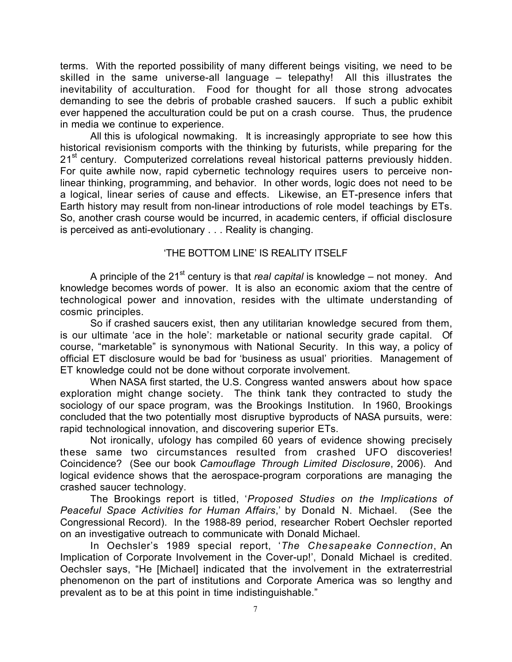terms. With the reported possibility of many different beings visiting, we need to be skilled in the same universe-all language – telepathy! All this illustrates the inevitability of acculturation. Food for thought for all those strong advocates demanding to see the debris of probable crashed saucers. If such a public exhibit ever happened the acculturation could be put on a crash course. Thus, the prudence in media we continue to experience.

All this is ufological nowmaking. It is increasingly appropriate to see how this historical revisionism comports with the thinking by futurists, while preparing for the 21<sup>st</sup> century. Computerized correlations reveal historical patterns previously hidden. For quite awhile now, rapid cybernetic technology requires users to perceive nonlinear thinking, programming, and behavior. In other words, logic does not need to be a logical, linear series of cause and effects. Likewise, an ET-presence infers that Earth history may result from non-linear introductions of role model teachings by ETs. So, another crash course would be incurred, in academic centers, if official disclosure is perceived as anti-evolutionary . . . Reality is changing.

# 'THE BOTTOM LINE' IS REALITY ITSELF

A principle of the 21<sup>st</sup> century is that *real capital* is knowledge – not money. And knowledge becomes words of power. It is also an economic axiom that the centre of technological power and innovation, resides with the ultimate understanding of cosmic principles.

So if crashed saucers exist, then any utilitarian knowledge secured from them, is our ultimate 'ace in the hole': marketable or national security grade capital. Of course, "marketable" is synonymous with National Security. In this way, a policy of official ET disclosure would be bad for 'business as usual' priorities. Management of ET knowledge could not be done without corporate involvement.

When NASA first started, the U.S. Congress wanted answers about how space exploration might change society. The think tank they contracted to study the sociology of our space program, was the Brookings Institution. In 1960, Brookings concluded that the two potentially most disruptive byproducts of NASA pursuits, were: rapid technological innovation, and discovering superior ETs.

Not ironically, ufology has compiled 60 years of evidence showing precisely these same two circumstances resulted from crashed UFO discoveries! Coincidence? (See our book *Camouflage Through Limited Disclosure*, 2006). And logical evidence shows that the aerospace-program corporations are managing the crashed saucer technology.

The Brookings report is titled, '*Proposed Studies on the Implications of Peaceful Space Activities for Human Affairs*,' by Donald N. Michael. (See the Congressional Record). In the 1988-89 period, researcher Robert Oechsler reported on an investigative outreach to communicate with Donald Michael.

In Oechsler's 1989 special report, '*The Chesapeake Connection*, An Implication of Corporate Involvement in the Cover-up!', Donald Michael is credited. Oechsler says, "He [Michael] indicated that the involvement in the extraterrestrial phenomenon on the part of institutions and Corporate America was so lengthy and prevalent as to be at this point in time indistinguishable."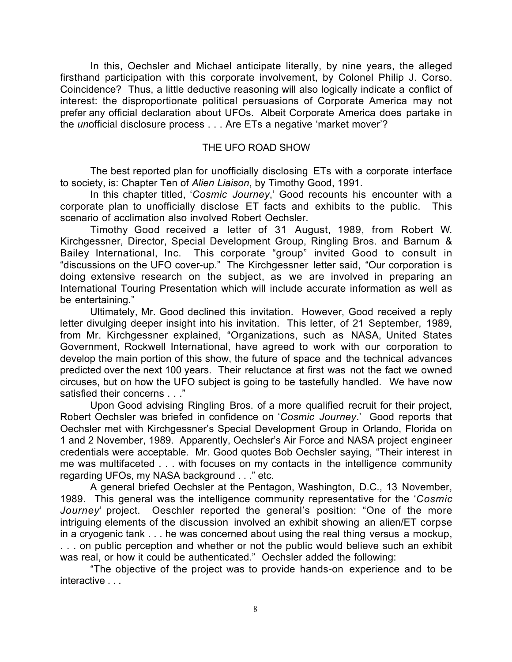In this, Oechsler and Michael anticipate literally, by nine years, the alleged firsthand participation with this corporate involvement, by Colonel Philip J. Corso. Coincidence? Thus, a little deductive reasoning will also logically indicate a conflict of interest: the disproportionate political persuasions of Corporate America may not prefer any official declaration about UFOs. Albeit Corporate America does partake in the *un*official disclosure process . . . Are ETs a negative 'market mover'?

#### THE UFO ROAD SHOW

The best reported plan for unofficially disclosing ETs with a corporate interface to society, is: Chapter Ten of *Alien Liaison*, by Timothy Good, 1991.

In this chapter titled, '*Cosmic Journey*,' Good recounts his encounter with a corporate plan to unofficially disclose ET facts and exhibits to the public. This scenario of acclimation also involved Robert Oechsler.

Timothy Good received a letter of 31 August, 1989, from Robert W. Kirchgessner, Director, Special Development Group, Ringling Bros. and Barnum & Bailey International, Inc. This corporate "group" invited Good to consult in "discussions on the UFO cover-up." The Kirchgessner letter said, "Our corporation is doing extensive research on the subject, as we are involved in preparing an International Touring Presentation which will include accurate information as well as be entertaining."

Ultimately, Mr. Good declined this invitation. However, Good received a reply letter divulging deeper insight into his invitation. This letter, of 21 September, 1989, from Mr. Kirchgessner explained, "Organizations, such as NASA, United States Government, Rockwell International, have agreed to work with our corporation to develop the main portion of this show, the future of space and the technical advances predicted over the next 100 years. Their reluctance at first was not the fact we owned circuses, but on how the UFO subject is going to be tastefully handled. We have now satisfied their concerns . . ."

Upon Good advising Ringling Bros. of a more qualified recruit for their project, Robert Oechsler was briefed in confidence on '*Cosmic Journey*.' Good reports that Oechsler met with Kirchgessner's Special Development Group in Orlando, Florida on 1 and 2 November, 1989. Apparently, Oechsler's Air Force and NASA project engineer credentials were acceptable. Mr. Good quotes Bob Oechsler saying, "Their interest in me was multifaceted . . . with focuses on my contacts in the intelligence community regarding UFOs, my NASA background . . ." etc.

A general briefed Oechsler at the Pentagon, Washington, D.C., 13 November, 1989. This general was the intelligence community representative for the '*Cosmic Journey*' project. Oeschler reported the general's position: "One of the more intriguing elements of the discussion involved an exhibit showing an alien/ET corpse in a cryogenic tank . . . he was concerned about using the real thing versus a mockup, . . . on public perception and whether or not the public would believe such an exhibit was real, or how it could be authenticated." Oechsler added the following:

"The objective of the project was to provide hands-on experience and to be interactive . . .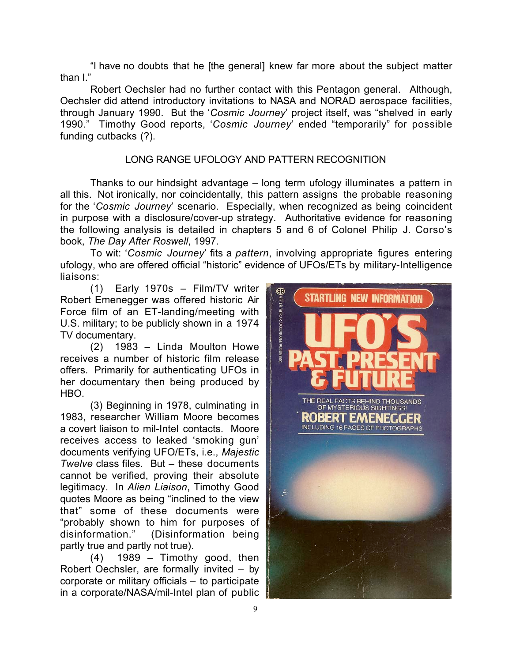"I have no doubts that he [the general] knew far more about the subject matter than I."

Robert Oechsler had no further contact with this Pentagon general. Although, Oechsler did attend introductory invitations to NASA and NORAD aerospace facilities, through January 1990. But the '*Cosmic Journey*' project itself, was "shelved in early 1990." Timothy Good reports, '*Cosmic Journey*' ended "temporarily" for possible funding cutbacks (?).

# LONG RANGE UFOLOGY AND PATTERN RECOGNITION

Thanks to our hindsight advantage – long term ufology illuminates a pattern in all this. Not ironically, nor coincidentally, this pattern assigns the probable reasoning for the '*Cosmic Journey*' scenario. Especially, when recognized as being coincident in purpose with a disclosure/cover-up strategy. Authoritative evidence for reasoning the following analysis is detailed in chapters 5 and 6 of Colonel Philip J. Corso's book, *The Day After Roswell*, 1997.

To wit: '*Cosmic Journey*' fits a *pattern*, involving appropriate figures entering ufology, who are offered official "historic" evidence of UFOs/ETs by military-Intelligence liaisons:

(1) Early 1970s – Film/TV writer Robert Emenegger was offered historic Air Force film of an ET-landing/meeting with U.S. military; to be publicly shown in a 1974 TV documentary.

(2) 1983 – Linda Moulton Howe receives a number of historic film release offers. Primarily for authenticating UFOs in her documentary then being produced by **HBO** 

(3) Beginning in 1978, culminating in 1983, researcher William Moore becomes a covert liaison to mil-Intel contacts. Moore receives access to leaked 'smoking gun' documents verifying UFO/ETs, i.e., *Majestic Twelve* class files. But – these documents cannot be verified, proving their absolute legitimacy. In *Alien Liaison*, Timothy Good quotes Moore as being "inclined to the view that" some of these documents were "probably shown to him for purposes of disinformation." (Disinformation being partly true and partly not true).

(4) 1989 – Timothy good, then Robert Oechsler, are formally invited – by corporate or military officials – to participate in a corporate/NASA/mil-Intel plan of public

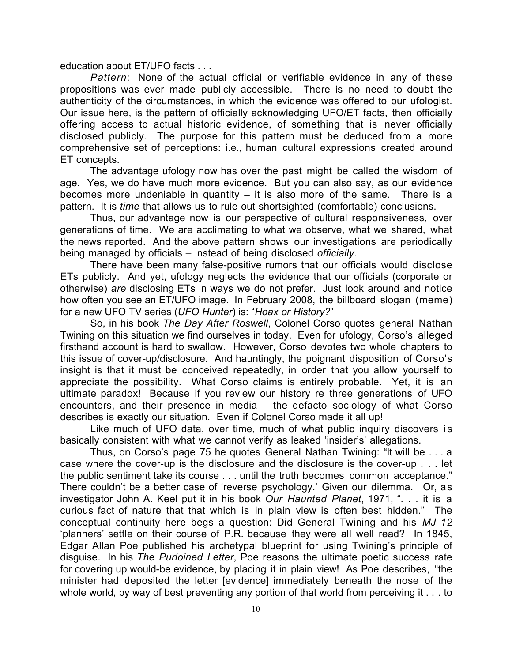education about ET/UFO facts . . .

*Pattern*: None of the actual official or verifiable evidence in any of these propositions was ever made publicly accessible. There is no need to doubt the authenticity of the circumstances, in which the evidence was offered to our ufologist. Our issue here, is the pattern of officially acknowledging UFO/ET facts, then officially offering access to actual historic evidence, of something that is never officially disclosed publicly. The purpose for this pattern must be deduced from a more comprehensive set of perceptions: i.e., human cultural expressions created around ET concepts.

The advantage ufology now has over the past might be called the wisdom of age. Yes, we do have much more evidence. But you can also say, as our evidence becomes more undeniable in quantity  $-$  it is also more of the same. There is a pattern. It is *time* that allows us to rule out shortsighted (comfortable) conclusions.

Thus, our advantage now is our perspective of cultural responsiveness, over generations of time. We are acclimating to what we observe, what we shared, what the news reported. And the above pattern shows our investigations are periodically being managed by officials – instead of being disclosed *officially*.

There have been many false-positive rumors that our officials would disclose ETs publicly. And yet, ufology neglects the evidence that our officials (corporate or otherwise) *are* disclosing ETs in ways we do not prefer. Just look around and notice how often you see an ET/UFO image. In February 2008, the billboard slogan (meme) for a new UFO TV series (*UFO Hunter*) is: "*Hoax or History?*"

So, in his book *The Day After Roswell*, Colonel Corso quotes general Nathan Twining on this situation we find ourselves in today. Even for ufology, Corso's alleged firsthand account is hard to swallow. However, Corso devotes two whole chapters to this issue of cover-up/disclosure. And hauntingly, the poignant disposition of Corso's insight is that it must be conceived repeatedly, in order that you allow yourself to appreciate the possibility. What Corso claims is entirely probable. Yet, it is an ultimate paradox! Because if you review our history re three generations of UFO encounters, and their presence in media – the defacto sociology of what Corso describes is exactly our situation. Even if Colonel Corso made it all up!

Like much of UFO data, over time, much of what public inquiry discovers is basically consistent with what we cannot verify as leaked 'insider's' allegations.

Thus, on Corso's page 75 he quotes General Nathan Twining: "It will be . . . a case where the cover-up is the disclosure and the disclosure is the cover-up . . . let the public sentiment take its course . . . until the truth becomes common acceptance." There couldn't be a better case of 'reverse psychology.' Given our dilemma. Or, as investigator John A. Keel put it in his book *Our Haunted Planet*, 1971, ". . . it is a curious fact of nature that that which is in plain view is often best hidden." The conceptual continuity here begs a question: Did General Twining and his *MJ 12* 'planners' settle on their course of P.R. because they were all well read? In 1845, Edgar Allan Poe published his archetypal blueprint for using Twining's principle of disguise. In his *The Purloined Letter*, Poe reasons the ultimate poetic success rate for covering up would-be evidence, by placing it in plain view! As Poe describes, "the minister had deposited the letter [evidence] immediately beneath the nose of the whole world, by way of best preventing any portion of that world from perceiving it . . . to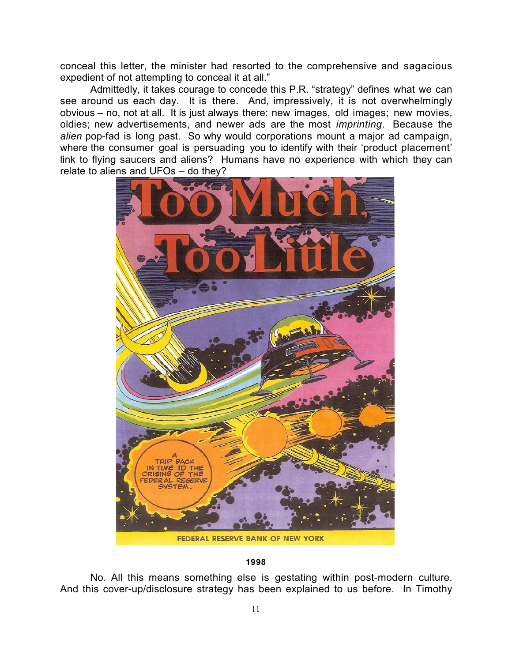conceal this letter, the minister had resorted to the comprehensive and sagacious expedient of not attempting to conceal it at all."

Admittedly, it takes courage to concede this P.R. "strategy" defines what we can see around us each day. It is there. And, impressively, it is not overwhelmingly obvious – no, not at all. It is just always there: new images, old images; new movies, oldies; new advertisements, and newer ads are the most *imprinting*. Because the *alien* pop-fad is long past. So why would corporations mount a major ad campaign, where the consumer goal is persuading you to identify with their 'product placement' link to flying saucers and aliens? Humans have no experience with which they can relate to aliens and UFOs – do they?



#### **1998**

No. All this means something else is gestating within post-modern culture. And this cover-up/disclosure strategy has been explained to us before. In Timothy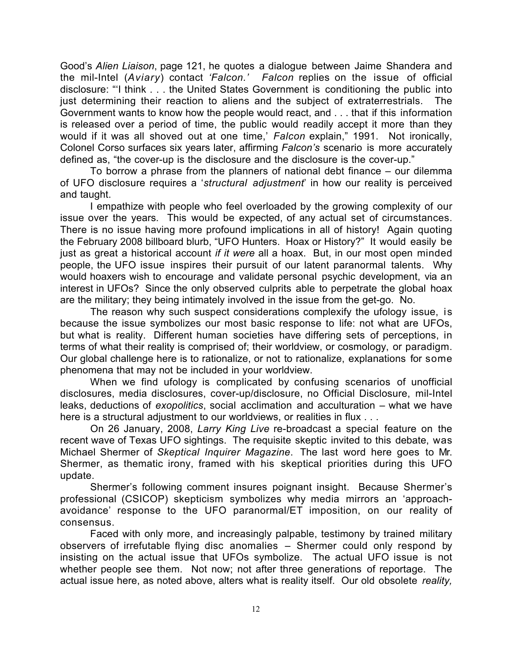Good's *Alien Liaison*, page 121, he quotes a dialogue between Jaime Shandera and the mil-Intel (*Aviary*) contact *'Falcon.' Falcon* replies on the issue of official disclosure: "'I think . . . the United States Government is conditioning the public into just determining their reaction to aliens and the subject of extraterrestrials. The Government wants to know how the people would react, and . . . that if this information is released over a period of time, the public would readily accept it more than they would if it was all shoved out at one time,' *Falcon* explain," 1991. Not ironically, Colonel Corso surfaces six years later, affirming *Falcon's* scenario is more accurately defined as, "the cover-up is the disclosure and the disclosure is the cover-up."

To borrow a phrase from the planners of national debt finance – our dilemma of UFO disclosure requires a '*structural adjustment*' in how our reality is perceived and taught.

I empathize with people who feel overloaded by the growing complexity of our issue over the years. This would be expected, of any actual set of circumstances. There is no issue having more profound implications in all of history! Again quoting the February 2008 billboard blurb, "UFO Hunters. Hoax or History?" It would easily be just as great a historical account *if it were* all a hoax. But, in our most open minded people, the UFO issue inspires their pursuit of our latent paranormal talents. Why would hoaxers wish to encourage and validate personal psychic development, via an interest in UFOs? Since the only observed culprits able to perpetrate the global hoax are the military; they being intimately involved in the issue from the get-go. No.

The reason why such suspect considerations complexify the ufology issue, is because the issue symbolizes our most basic response to life: not what are UFOs, but what is reality. Different human societies have differing sets of perceptions, in terms of what their reality is comprised of; their worldview, or cosmology, or paradigm. Our global challenge here is to rationalize, or not to rationalize, explanations for some phenomena that may not be included in your worldview.

When we find ufology is complicated by confusing scenarios of unofficial disclosures, media disclosures, cover-up/disclosure, no Official Disclosure, mil-Intel leaks, deductions of *exopolitics*, social acclimation and acculturation – what we have here is a structural adjustment to our worldviews, or realities in flux . . .

On 26 January, 2008, *Larry King Live* re-broadcast a special feature on the recent wave of Texas UFO sightings. The requisite skeptic invited to this debate, was Michael Shermer of *Skeptical Inquirer Magazine*. The last word here goes to Mr. Shermer, as thematic irony, framed with his skeptical priorities during this UFO update.

Shermer's following comment insures poignant insight. Because Shermer's professional (CSICOP) skepticism symbolizes why media mirrors an 'approachavoidance' response to the UFO paranormal/ET imposition, on our reality of consensus.

Faced with only more, and increasingly palpable, testimony by trained military observers of irrefutable flying disc anomalies – Shermer could only respond by insisting on the actual issue that UFOs symbolize. The actual UFO issue is not whether people see them. Not now; not after three generations of reportage. The actual issue here, as noted above, alters what is reality itself. Our old obsolete *reality,*